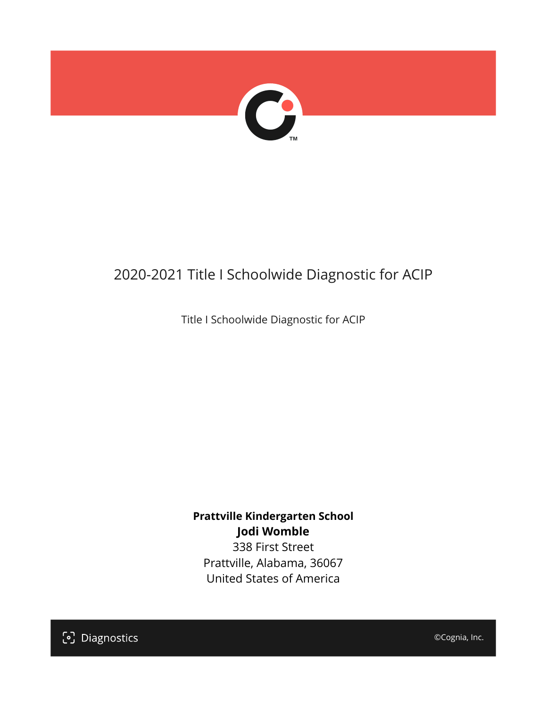

## 2020-2021 Title I Schoolwide Diagnostic for ACIP

Title I Schoolwide Diagnostic for ACIP

**Prattville Kindergarten School Jodi Womble**

338 First Street Prattville, Alabama, 36067 United States of America



©Cognia, Inc.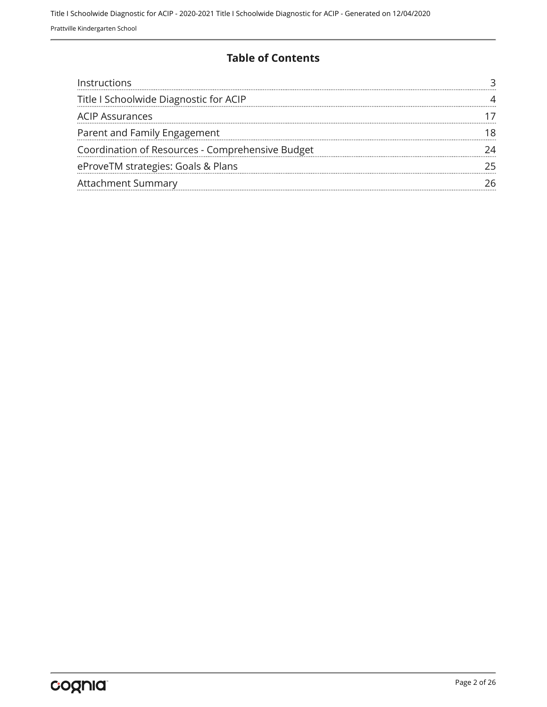#### **Table of Contents**

| Instructions                                     |  |
|--------------------------------------------------|--|
| Title I Schoolwide Diagnostic for ACIP           |  |
| <b>ACIP Assurances</b>                           |  |
| Parent and Family Engagement                     |  |
| Coordination of Resources - Comprehensive Budget |  |
| eProveTM strategies: Goals & Plans               |  |
| <b>Attachment Summary</b>                        |  |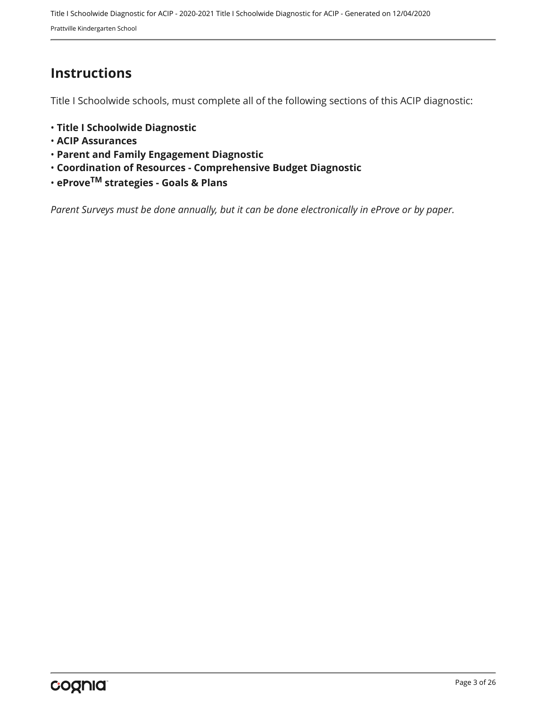## <span id="page-2-0"></span>**Instructions**

Title I Schoolwide schools, must complete all of the following sections of this ACIP diagnostic:

- **Title I Schoolwide Diagnostic**
- **ACIP Assurances**
- **Parent and Family Engagement Diagnostic**
- **Coordination of Resources Comprehensive Budget Diagnostic**
- **eProveTM strategies Goals & Plans**

*Parent Surveys must be done annually, but it can be done electronically in eProve or by paper.*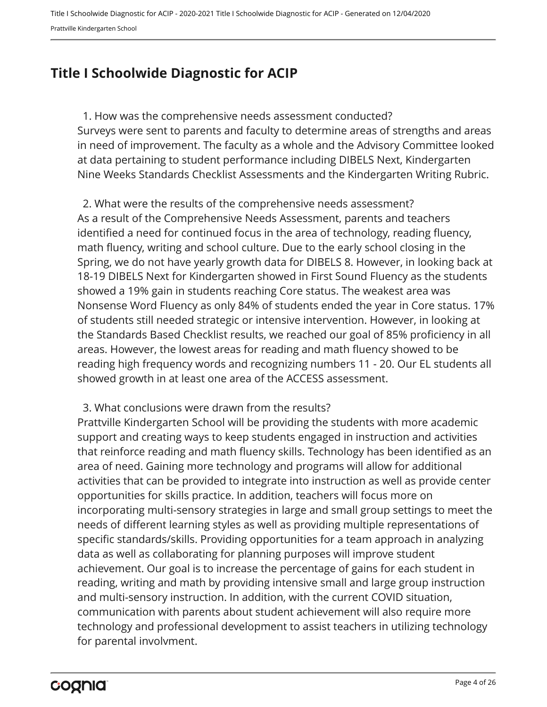## <span id="page-3-0"></span>**Title I Schoolwide Diagnostic for ACIP**

Surveys were sent to parents and faculty to determine areas of strengths and areas in need of improvement. The faculty as a whole and the Advisory Committee looked at data pertaining to student performance including DIBELS Next, Kindergarten Nine Weeks Standards Checklist Assessments and the Kindergarten Writing Rubric. 1. How was the comprehensive needs assessment conducted?

As a result of the Comprehensive Needs Assessment, parents and teachers identified a need for continued focus in the area of technology, reading fluency, math fluency, writing and school culture. Due to the early school closing in the Spring, we do not have yearly growth data for DIBELS 8. However, in looking back at 18-19 DIBELS Next for Kindergarten showed in First Sound Fluency as the students showed a 19% gain in students reaching Core status. The weakest area was Nonsense Word Fluency as only 84% of students ended the year in Core status. 17% of students still needed strategic or intensive intervention. However, in looking at the Standards Based Checklist results, we reached our goal of 85% proficiency in all areas. However, the lowest areas for reading and math fluency showed to be reading high frequency words and recognizing numbers 11 - 20. Our EL students all showed growth in at least one area of the ACCESS assessment. 2. What were the results of the comprehensive needs assessment?

3. What conclusions were drawn from the results?

Prattville Kindergarten School will be providing the students with more academic support and creating ways to keep students engaged in instruction and activities that reinforce reading and math fluency skills. Technology has been identified as an area of need. Gaining more technology and programs will allow for additional activities that can be provided to integrate into instruction as well as provide center opportunities for skills practice. In addition, teachers will focus more on incorporating multi-sensory strategies in large and small group settings to meet the needs of different learning styles as well as providing multiple representations of specific standards/skills. Providing opportunities for a team approach in analyzing data as well as collaborating for planning purposes will improve student achievement. Our goal is to increase the percentage of gains for each student in reading, writing and math by providing intensive small and large group instruction and multi-sensory instruction. In addition, with the current COVID situation, communication with parents about student achievement will also require more technology and professional development to assist teachers in utilizing technology for parental involvment.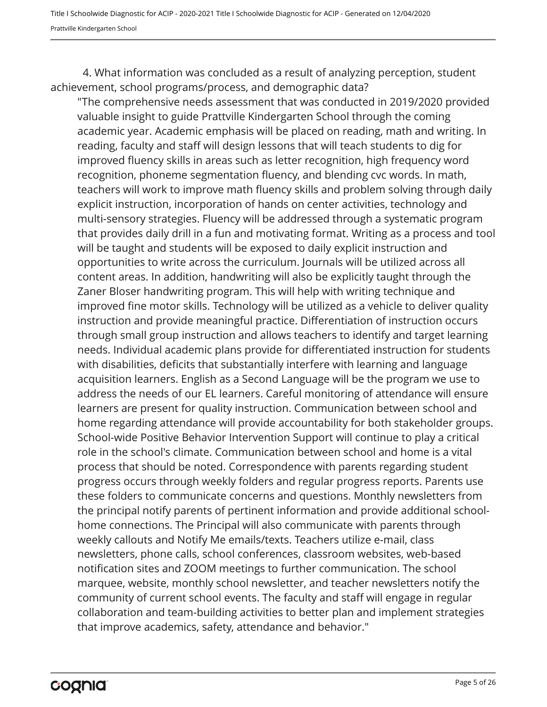4. What information was concluded as a result of analyzing perception, student achievement, school programs/process, and demographic data?

"The comprehensive needs assessment that was conducted in 2019/2020 provided valuable insight to guide Prattville Kindergarten School through the coming academic year. Academic emphasis will be placed on reading, math and writing. In reading, faculty and staff will design lessons that will teach students to dig for improved fluency skills in areas such as letter recognition, high frequency word recognition, phoneme segmentation fluency, and blending cvc words. In math, teachers will work to improve math fluency skills and problem solving through daily explicit instruction, incorporation of hands on center activities, technology and multi-sensory strategies. Fluency will be addressed through a systematic program that provides daily drill in a fun and motivating format. Writing as a process and tool will be taught and students will be exposed to daily explicit instruction and opportunities to write across the curriculum. Journals will be utilized across all content areas. In addition, handwriting will also be explicitly taught through the Zaner Bloser handwriting program. This will help with writing technique and improved fine motor skills. Technology will be utilized as a vehicle to deliver quality instruction and provide meaningful practice. Differentiation of instruction occurs through small group instruction and allows teachers to identify and target learning needs. Individual academic plans provide for differentiated instruction for students with disabilities, deficits that substantially interfere with learning and language acquisition learners. English as a Second Language will be the program we use to address the needs of our EL learners. Careful monitoring of attendance will ensure learners are present for quality instruction. Communication between school and home regarding attendance will provide accountability for both stakeholder groups. School-wide Positive Behavior Intervention Support will continue to play a critical role in the school's climate. Communication between school and home is a vital process that should be noted. Correspondence with parents regarding student progress occurs through weekly folders and regular progress reports. Parents use these folders to communicate concerns and questions. Monthly newsletters from the principal notify parents of pertinent information and provide additional schoolhome connections. The Principal will also communicate with parents through weekly callouts and Notify Me emails/texts. Teachers utilize e-mail, class newsletters, phone calls, school conferences, classroom websites, web-based notification sites and ZOOM meetings to further communication. The school marquee, website, monthly school newsletter, and teacher newsletters notify the community of current school events. The faculty and staff will engage in regular collaboration and team-building activities to better plan and implement strategies that improve academics, safety, attendance and behavior."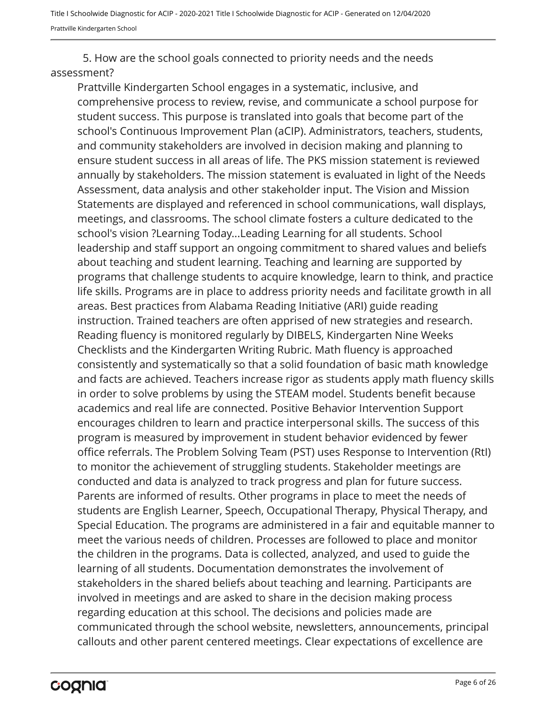5. How are the school goals connected to priority needs and the needs assessment?

Prattville Kindergarten School engages in a systematic, inclusive, and comprehensive process to review, revise, and communicate a school purpose for student success. This purpose is translated into goals that become part of the school's Continuous Improvement Plan (aCIP). Administrators, teachers, students, and community stakeholders are involved in decision making and planning to ensure student success in all areas of life. The PKS mission statement is reviewed annually by stakeholders. The mission statement is evaluated in light of the Needs Assessment, data analysis and other stakeholder input. The Vision and Mission Statements are displayed and referenced in school communications, wall displays, meetings, and classrooms. The school climate fosters a culture dedicated to the school's vision ?Learning Today...Leading Learning for all students. School leadership and staff support an ongoing commitment to shared values and beliefs about teaching and student learning. Teaching and learning are supported by programs that challenge students to acquire knowledge, learn to think, and practice life skills. Programs are in place to address priority needs and facilitate growth in all areas. Best practices from Alabama Reading Initiative (ARI) guide reading instruction. Trained teachers are often apprised of new strategies and research. Reading fluency is monitored regularly by DIBELS, Kindergarten Nine Weeks Checklists and the Kindergarten Writing Rubric. Math fluency is approached consistently and systematically so that a solid foundation of basic math knowledge and facts are achieved. Teachers increase rigor as students apply math fluency skills in order to solve problems by using the STEAM model. Students benefit because academics and real life are connected. Positive Behavior Intervention Support encourages children to learn and practice interpersonal skills. The success of this program is measured by improvement in student behavior evidenced by fewer office referrals. The Problem Solving Team (PST) uses Response to Intervention (RtI) to monitor the achievement of struggling students. Stakeholder meetings are conducted and data is analyzed to track progress and plan for future success. Parents are informed of results. Other programs in place to meet the needs of students are English Learner, Speech, Occupational Therapy, Physical Therapy, and Special Education. The programs are administered in a fair and equitable manner to meet the various needs of children. Processes are followed to place and monitor the children in the programs. Data is collected, analyzed, and used to guide the learning of all students. Documentation demonstrates the involvement of stakeholders in the shared beliefs about teaching and learning. Participants are involved in meetings and are asked to share in the decision making process regarding education at this school. The decisions and policies made are communicated through the school website, newsletters, announcements, principal callouts and other parent centered meetings. Clear expectations of excellence are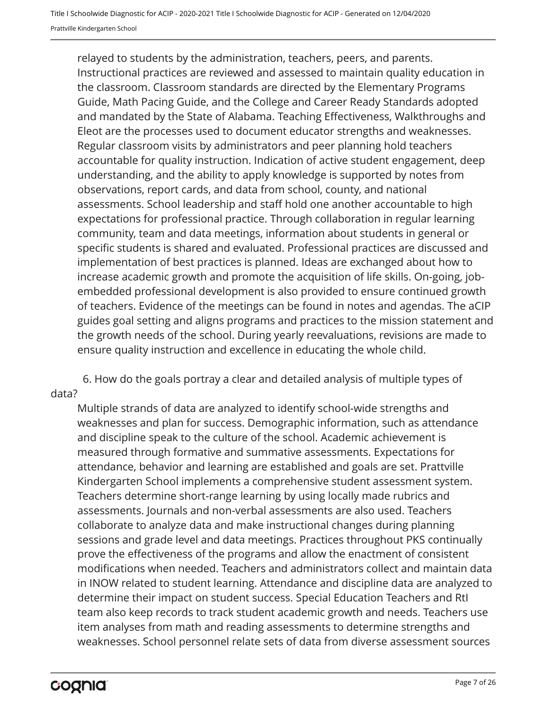relayed to students by the administration, teachers, peers, and parents. Instructional practices are reviewed and assessed to maintain quality education in the classroom. Classroom standards are directed by the Elementary Programs Guide, Math Pacing Guide, and the College and Career Ready Standards adopted and mandated by the State of Alabama. Teaching Effectiveness, Walkthroughs and Eleot are the processes used to document educator strengths and weaknesses. Regular classroom visits by administrators and peer planning hold teachers accountable for quality instruction. Indication of active student engagement, deep understanding, and the ability to apply knowledge is supported by notes from observations, report cards, and data from school, county, and national assessments. School leadership and staff hold one another accountable to high expectations for professional practice. Through collaboration in regular learning community, team and data meetings, information about students in general or specific students is shared and evaluated. Professional practices are discussed and implementation of best practices is planned. Ideas are exchanged about how to increase academic growth and promote the acquisition of life skills. On-going, jobembedded professional development is also provided to ensure continued growth of teachers. Evidence of the meetings can be found in notes and agendas. The aCIP guides goal setting and aligns programs and practices to the mission statement and the growth needs of the school. During yearly reevaluations, revisions are made to ensure quality instruction and excellence in educating the whole child.

6. How do the goals portray a clear and detailed analysis of multiple types of data?

Multiple strands of data are analyzed to identify school-wide strengths and weaknesses and plan for success. Demographic information, such as attendance and discipline speak to the culture of the school. Academic achievement is measured through formative and summative assessments. Expectations for attendance, behavior and learning are established and goals are set. Prattville Kindergarten School implements a comprehensive student assessment system. Teachers determine short-range learning by using locally made rubrics and assessments. Journals and non-verbal assessments are also used. Teachers collaborate to analyze data and make instructional changes during planning sessions and grade level and data meetings. Practices throughout PKS continually prove the effectiveness of the programs and allow the enactment of consistent modifications when needed. Teachers and administrators collect and maintain data in INOW related to student learning. Attendance and discipline data are analyzed to determine their impact on student success. Special Education Teachers and RtI team also keep records to track student academic growth and needs. Teachers use item analyses from math and reading assessments to determine strengths and weaknesses. School personnel relate sets of data from diverse assessment sources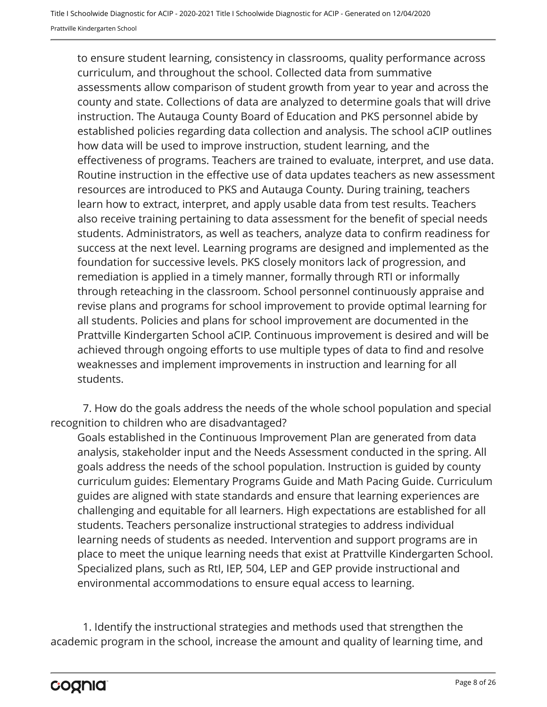to ensure student learning, consistency in classrooms, quality performance across curriculum, and throughout the school. Collected data from summative assessments allow comparison of student growth from year to year and across the county and state. Collections of data are analyzed to determine goals that will drive instruction. The Autauga County Board of Education and PKS personnel abide by established policies regarding data collection and analysis. The school aCIP outlines how data will be used to improve instruction, student learning, and the effectiveness of programs. Teachers are trained to evaluate, interpret, and use data. Routine instruction in the effective use of data updates teachers as new assessment resources are introduced to PKS and Autauga County. During training, teachers learn how to extract, interpret, and apply usable data from test results. Teachers also receive training pertaining to data assessment for the benefit of special needs students. Administrators, as well as teachers, analyze data to confirm readiness for success at the next level. Learning programs are designed and implemented as the foundation for successive levels. PKS closely monitors lack of progression, and remediation is applied in a timely manner, formally through RTI or informally through reteaching in the classroom. School personnel continuously appraise and revise plans and programs for school improvement to provide optimal learning for all students. Policies and plans for school improvement are documented in the Prattville Kindergarten School aCIP. Continuous improvement is desired and will be achieved through ongoing efforts to use multiple types of data to find and resolve weaknesses and implement improvements in instruction and learning for all students.

7. How do the goals address the needs of the whole school population and special recognition to children who are disadvantaged?

Goals established in the Continuous Improvement Plan are generated from data analysis, stakeholder input and the Needs Assessment conducted in the spring. All goals address the needs of the school population. Instruction is guided by county curriculum guides: Elementary Programs Guide and Math Pacing Guide. Curriculum guides are aligned with state standards and ensure that learning experiences are challenging and equitable for all learners. High expectations are established for all students. Teachers personalize instructional strategies to address individual learning needs of students as needed. Intervention and support programs are in place to meet the unique learning needs that exist at Prattville Kindergarten School. Specialized plans, such as RtI, IEP, 504, LEP and GEP provide instructional and environmental accommodations to ensure equal access to learning.

1. Identify the instructional strategies and methods used that strengthen the academic program in the school, increase the amount and quality of learning time, and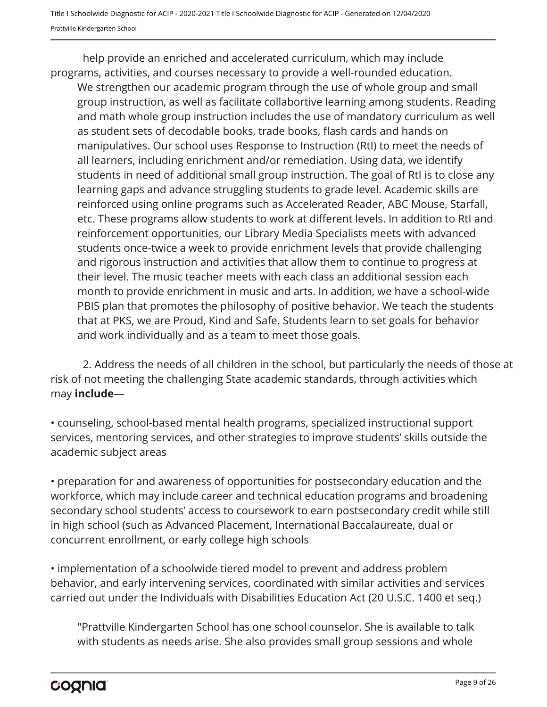help provide an enriched and accelerated curriculum, which may include programs, activities, and courses necessary to provide a well-rounded education.

We strengthen our academic program through the use of whole group and small group instruction, as well as facilitate collabortive learning among students. Reading and math whole group instruction includes the use of mandatory curriculum as well as student sets of decodable books, trade books, flash cards and hands on manipulatives. Our school uses Response to Instruction (RtI) to meet the needs of all learners, including enrichment and/or remediation. Using data, we identify students in need of additional small group instruction. The goal of RtI is to close any learning gaps and advance struggling students to grade level. Academic skills are reinforced using online programs such as Accelerated Reader, ABC Mouse, Starfall, etc. These programs allow students to work at different levels. In addition to RtI and reinforcement opportunities, our Library Media Specialists meets with advanced students once-twice a week to provide enrichment levels that provide challenging and rigorous instruction and activities that allow them to continue to progress at their level. The music teacher meets with each class an additional session each month to provide enrichment in music and arts. In addition, we have a school-wide PBIS plan that promotes the philosophy of positive behavior. We teach the students that at PKS, we are Proud, Kind and Safe. Students learn to set goals for behavior and work individually and as a team to meet those goals.

2. Address the needs of all children in the school, but particularly the needs of those at risk of not meeting the challenging State academic standards, through activities which may **include**—

• counseling, school-based mental health programs, specialized instructional support services, mentoring services, and other strategies to improve students' skills outside the academic subject areas

• preparation for and awareness of opportunities for postsecondary education and the workforce, which may include career and technical education programs and broadening secondary school students' access to coursework to earn postsecondary credit while still in high school (such as Advanced Placement, International Baccalaureate, dual or concurrent enrollment, or early college high schools

• implementation of a schoolwide tiered model to prevent and address problem behavior, and early intervening services, coordinated with similar activities and services carried out under the Individuals with Disabilities Education Act (20 U.S.C. 1400 et seq.)

"Prattville Kindergarten School has one school counselor. She is available to talk with students as needs arise. She also provides small group sessions and whole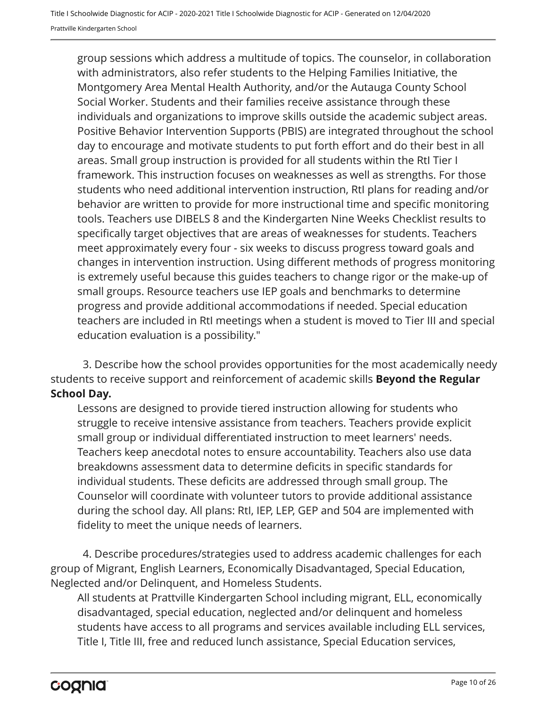group sessions which address a multitude of topics. The counselor, in collaboration with administrators, also refer students to the Helping Families Initiative, the Montgomery Area Mental Health Authority, and/or the Autauga County School Social Worker. Students and their families receive assistance through these individuals and organizations to improve skills outside the academic subject areas. Positive Behavior Intervention Supports (PBIS) are integrated throughout the school day to encourage and motivate students to put forth effort and do their best in all areas. Small group instruction is provided for all students within the RtI Tier I framework. This instruction focuses on weaknesses as well as strengths. For those students who need additional intervention instruction, RtI plans for reading and/or behavior are written to provide for more instructional time and specific monitoring tools. Teachers use DIBELS 8 and the Kindergarten Nine Weeks Checklist results to specifically target objectives that are areas of weaknesses for students. Teachers meet approximately every four - six weeks to discuss progress toward goals and changes in intervention instruction. Using different methods of progress monitoring is extremely useful because this guides teachers to change rigor or the make-up of small groups. Resource teachers use IEP goals and benchmarks to determine progress and provide additional accommodations if needed. Special education teachers are included in RtI meetings when a student is moved to Tier III and special education evaluation is a possibility."

3. Describe how the school provides opportunities for the most academically needy students to receive support and reinforcement of academic skills **Beyond the Regular School Day.**

Lessons are designed to provide tiered instruction allowing for students who struggle to receive intensive assistance from teachers. Teachers provide explicit small group or individual differentiated instruction to meet learners' needs. Teachers keep anecdotal notes to ensure accountability. Teachers also use data breakdowns assessment data to determine deficits in specific standards for individual students. These deficits are addressed through small group. The Counselor will coordinate with volunteer tutors to provide additional assistance during the school day. All plans: RtI, IEP, LEP, GEP and 504 are implemented with fidelity to meet the unique needs of learners.

4. Describe procedures/strategies used to address academic challenges for each group of Migrant, English Learners, Economically Disadvantaged, Special Education, Neglected and/or Delinquent, and Homeless Students.

All students at Prattville Kindergarten School including migrant, ELL, economically disadvantaged, special education, neglected and/or delinquent and homeless students have access to all programs and services available including ELL services, Title I, Title III, free and reduced lunch assistance, Special Education services,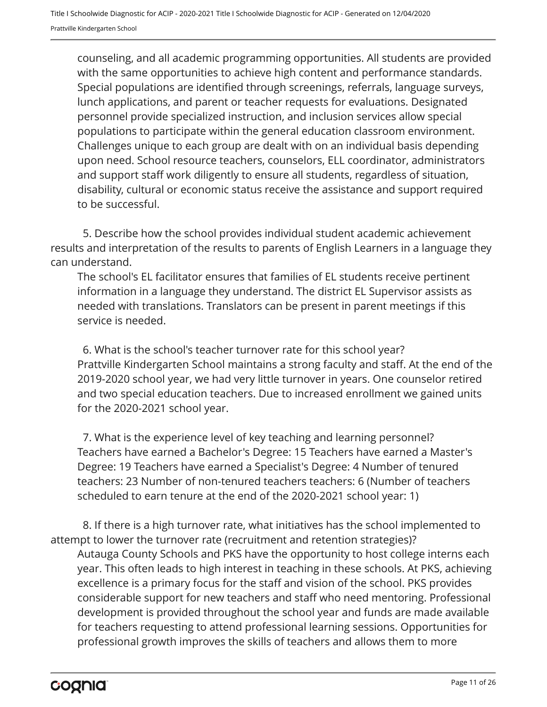counseling, and all academic programming opportunities. All students are provided with the same opportunities to achieve high content and performance standards. Special populations are identified through screenings, referrals, language surveys, lunch applications, and parent or teacher requests for evaluations. Designated personnel provide specialized instruction, and inclusion services allow special populations to participate within the general education classroom environment. Challenges unique to each group are dealt with on an individual basis depending upon need. School resource teachers, counselors, ELL coordinator, administrators and support staff work diligently to ensure all students, regardless of situation, disability, cultural or economic status receive the assistance and support required to be successful.

5. Describe how the school provides individual student academic achievement results and interpretation of the results to parents of English Learners in a language they can understand.

The school's EL facilitator ensures that families of EL students receive pertinent information in a language they understand. The district EL Supervisor assists as needed with translations. Translators can be present in parent meetings if this service is needed.

Prattville Kindergarten School maintains a strong faculty and staff. At the end of the 2019-2020 school year, we had very little turnover in years. One counselor retired and two special education teachers. Due to increased enrollment we gained units for the 2020-2021 school year. 6. What is the school's teacher turnover rate for this school year?

Teachers have earned a Bachelor's Degree: 15 Teachers have earned a Master's Degree: 19 Teachers have earned a Specialist's Degree: 4 Number of tenured teachers: 23 Number of non-tenured teachers teachers: 6 (Number of teachers scheduled to earn tenure at the end of the 2020-2021 school year: 1) 7. What is the experience level of key teaching and learning personnel?

Autauga County Schools and PKS have the opportunity to host college interns each year. This often leads to high interest in teaching in these schools. At PKS, achieving excellence is a primary focus for the staff and vision of the school. PKS provides considerable support for new teachers and staff who need mentoring. Professional development is provided throughout the school year and funds are made available for teachers requesting to attend professional learning sessions. Opportunities for professional growth improves the skills of teachers and allows them to more 8. If there is a high turnover rate, what initiatives has the school implemented to attempt to lower the turnover rate (recruitment and retention strategies)?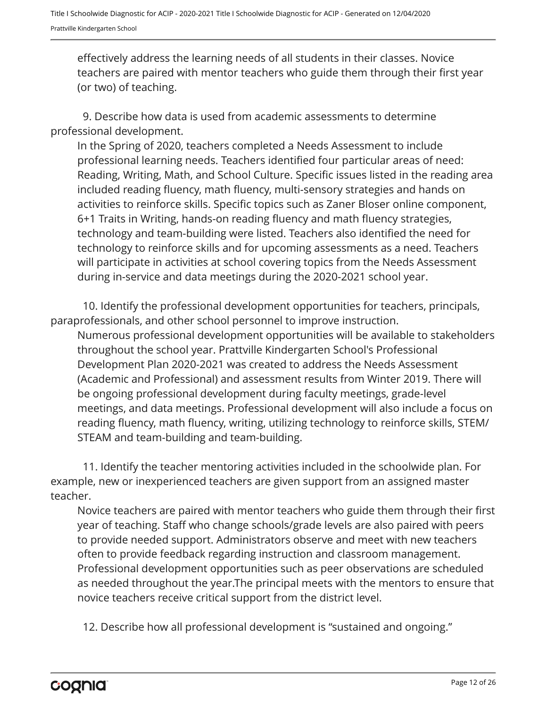effectively address the learning needs of all students in their classes. Novice teachers are paired with mentor teachers who guide them through their first year (or two) of teaching.

9. Describe how data is used from academic assessments to determine professional development.

In the Spring of 2020, teachers completed a Needs Assessment to include professional learning needs. Teachers identified four particular areas of need: Reading, Writing, Math, and School Culture. Specific issues listed in the reading area included reading fluency, math fluency, multi-sensory strategies and hands on activities to reinforce skills. Specific topics such as Zaner Bloser online component, 6+1 Traits in Writing, hands-on reading fluency and math fluency strategies, technology and team-building were listed. Teachers also identified the need for technology to reinforce skills and for upcoming assessments as a need. Teachers will participate in activities at school covering topics from the Needs Assessment during in-service and data meetings during the 2020-2021 school year.

10. Identify the professional development opportunities for teachers, principals, paraprofessionals, and other school personnel to improve instruction.

Numerous professional development opportunities will be available to stakeholders throughout the school year. Prattville Kindergarten School's Professional Development Plan 2020-2021 was created to address the Needs Assessment (Academic and Professional) and assessment results from Winter 2019. There will be ongoing professional development during faculty meetings, grade-level meetings, and data meetings. Professional development will also include a focus on reading fluency, math fluency, writing, utilizing technology to reinforce skills, STEM/ STEAM and team-building and team-building.

11. Identify the teacher mentoring activities included in the schoolwide plan. For example, new or inexperienced teachers are given support from an assigned master teacher.

Novice teachers are paired with mentor teachers who guide them through their first year of teaching. Staff who change schools/grade levels are also paired with peers to provide needed support. Administrators observe and meet with new teachers often to provide feedback regarding instruction and classroom management. Professional development opportunities such as peer observations are scheduled as needed throughout the year.The principal meets with the mentors to ensure that novice teachers receive critical support from the district level.

12. Describe how all professional development is "sustained and ongoing."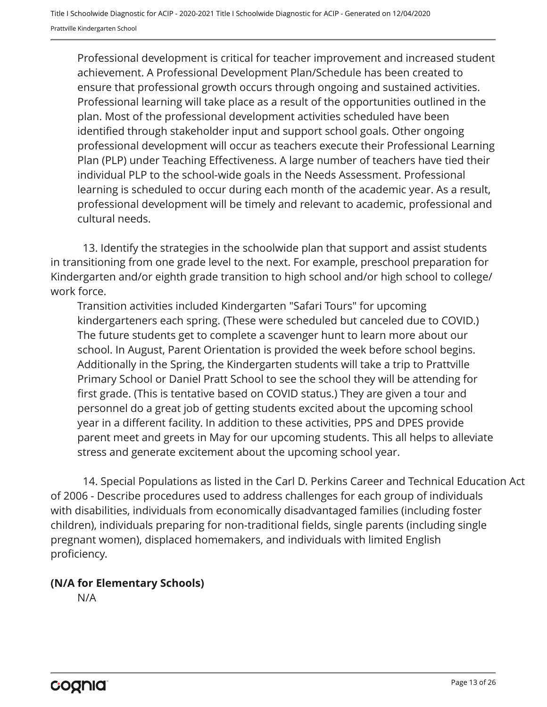Professional development is critical for teacher improvement and increased student achievement. A Professional Development Plan/Schedule has been created to ensure that professional growth occurs through ongoing and sustained activities. Professional learning will take place as a result of the opportunities outlined in the plan. Most of the professional development activities scheduled have been identified through stakeholder input and support school goals. Other ongoing professional development will occur as teachers execute their Professional Learning Plan (PLP) under Teaching Effectiveness. A large number of teachers have tied their individual PLP to the school-wide goals in the Needs Assessment. Professional learning is scheduled to occur during each month of the academic year. As a result, professional development will be timely and relevant to academic, professional and cultural needs.

13. Identify the strategies in the schoolwide plan that support and assist students in transitioning from one grade level to the next. For example, preschool preparation for Kindergarten and/or eighth grade transition to high school and/or high school to college/ work force.

Transition activities included Kindergarten "Safari Tours" for upcoming kindergarteners each spring. (These were scheduled but canceled due to COVID.) The future students get to complete a scavenger hunt to learn more about our school. In August, Parent Orientation is provided the week before school begins. Additionally in the Spring, the Kindergarten students will take a trip to Prattville Primary School or Daniel Pratt School to see the school they will be attending for first grade. (This is tentative based on COVID status.) They are given a tour and personnel do a great job of getting students excited about the upcoming school year in a different facility. In addition to these activities, PPS and DPES provide parent meet and greets in May for our upcoming students. This all helps to alleviate stress and generate excitement about the upcoming school year.

14. Special Populations as listed in the Carl D. Perkins Career and Technical Education Act of 2006 - Describe procedures used to address challenges for each group of individuals with disabilities, individuals from economically disadvantaged families (including foster children), individuals preparing for non-traditional fields, single parents (including single pregnant women), displaced homemakers, and individuals with limited English proficiency.

#### **(N/A for Elementary Schools)**

N/A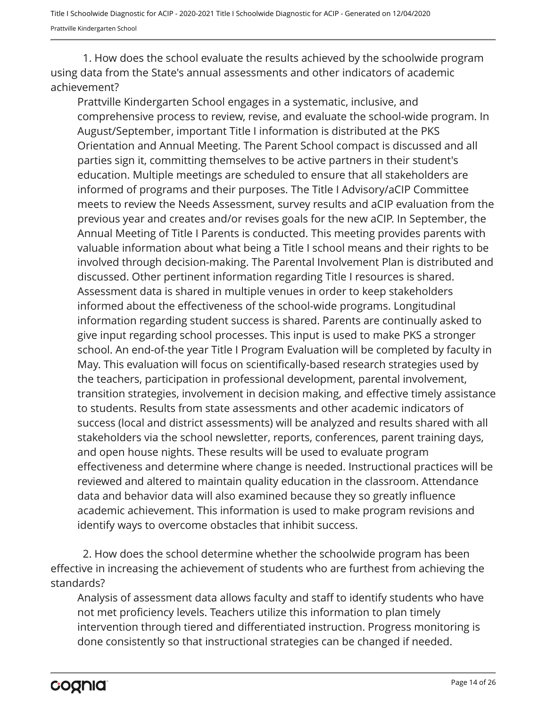1. How does the school evaluate the results achieved by the schoolwide program using data from the State's annual assessments and other indicators of academic achievement?

Prattville Kindergarten School engages in a systematic, inclusive, and comprehensive process to review, revise, and evaluate the school-wide program. In August/September, important Title I information is distributed at the PKS Orientation and Annual Meeting. The Parent School compact is discussed and all parties sign it, committing themselves to be active partners in their student's education. Multiple meetings are scheduled to ensure that all stakeholders are informed of programs and their purposes. The Title I Advisory/aCIP Committee meets to review the Needs Assessment, survey results and aCIP evaluation from the previous year and creates and/or revises goals for the new aCIP. In September, the Annual Meeting of Title I Parents is conducted. This meeting provides parents with valuable information about what being a Title I school means and their rights to be involved through decision-making. The Parental Involvement Plan is distributed and discussed. Other pertinent information regarding Title I resources is shared. Assessment data is shared in multiple venues in order to keep stakeholders informed about the effectiveness of the school-wide programs. Longitudinal information regarding student success is shared. Parents are continually asked to give input regarding school processes. This input is used to make PKS a stronger school. An end-of-the year Title I Program Evaluation will be completed by faculty in May. This evaluation will focus on scientifically-based research strategies used by the teachers, participation in professional development, parental involvement, transition strategies, involvement in decision making, and effective timely assistance to students. Results from state assessments and other academic indicators of success (local and district assessments) will be analyzed and results shared with all stakeholders via the school newsletter, reports, conferences, parent training days, and open house nights. These results will be used to evaluate program effectiveness and determine where change is needed. Instructional practices will be reviewed and altered to maintain quality education in the classroom. Attendance data and behavior data will also examined because they so greatly influence academic achievement. This information is used to make program revisions and identify ways to overcome obstacles that inhibit success.

2. How does the school determine whether the schoolwide program has been effective in increasing the achievement of students who are furthest from achieving the standards?

Analysis of assessment data allows faculty and staff to identify students who have not met proficiency levels. Teachers utilize this information to plan timely intervention through tiered and differentiated instruction. Progress monitoring is done consistently so that instructional strategies can be changed if needed.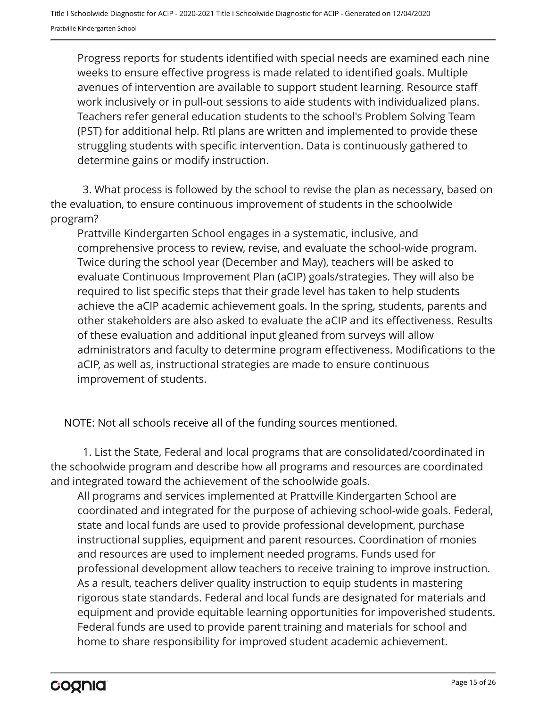Progress reports for students identified with special needs are examined each nine weeks to ensure effective progress is made related to identified goals. Multiple avenues of intervention are available to support student learning. Resource staff work inclusively or in pull-out sessions to aide students with individualized plans. Teachers refer general education students to the school's Problem Solving Team (PST) for additional help. RtI plans are written and implemented to provide these struggling students with specific intervention. Data is continuously gathered to determine gains or modify instruction.

3. What process is followed by the school to revise the plan as necessary, based on the evaluation, to ensure continuous improvement of students in the schoolwide program?

Prattville Kindergarten School engages in a systematic, inclusive, and comprehensive process to review, revise, and evaluate the school-wide program. Twice during the school year (December and May), teachers will be asked to evaluate Continuous Improvement Plan (aCIP) goals/strategies. They will also be required to list specific steps that their grade level has taken to help students achieve the aCIP academic achievement goals. In the spring, students, parents and other stakeholders are also asked to evaluate the aCIP and its effectiveness. Results of these evaluation and additional input gleaned from surveys will allow administrators and faculty to determine program effectiveness. Modifications to the aCIP, as well as, instructional strategies are made to ensure continuous improvement of students.

NOTE: Not all schools receive all of the funding sources mentioned.

1. List the State, Federal and local programs that are consolidated/coordinated in the schoolwide program and describe how all programs and resources are coordinated and integrated toward the achievement of the schoolwide goals.

All programs and services implemented at Prattville Kindergarten School are coordinated and integrated for the purpose of achieving school-wide goals. Federal, state and local funds are used to provide professional development, purchase instructional supplies, equipment and parent resources. Coordination of monies and resources are used to implement needed programs. Funds used for professional development allow teachers to receive training to improve instruction. As a result, teachers deliver quality instruction to equip students in mastering rigorous state standards. Federal and local funds are designated for materials and equipment and provide equitable learning opportunities for impoverished students. Federal funds are used to provide parent training and materials for school and home to share responsibility for improved student academic achievement.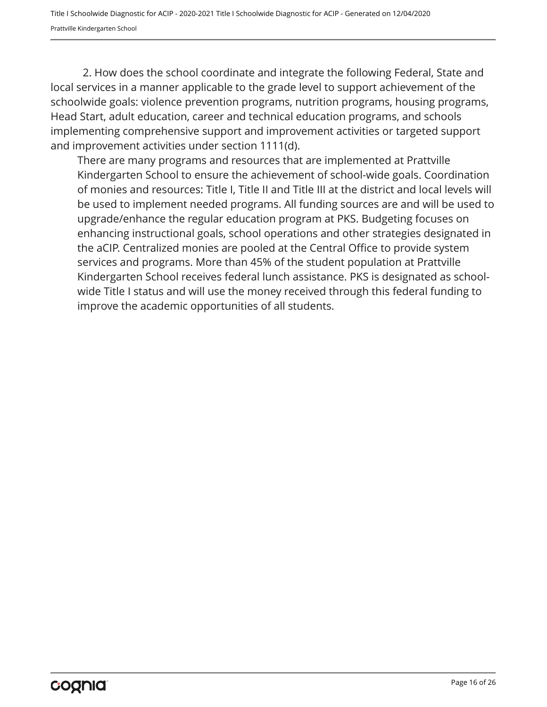2. How does the school coordinate and integrate the following Federal, State and local services in a manner applicable to the grade level to support achievement of the schoolwide goals: violence prevention programs, nutrition programs, housing programs, Head Start, adult education, career and technical education programs, and schools implementing comprehensive support and improvement activities or targeted support and improvement activities under section 1111(d).

There are many programs and resources that are implemented at Prattville Kindergarten School to ensure the achievement of school-wide goals. Coordination of monies and resources: Title I, Title II and Title III at the district and local levels will be used to implement needed programs. All funding sources are and will be used to upgrade/enhance the regular education program at PKS. Budgeting focuses on enhancing instructional goals, school operations and other strategies designated in the aCIP. Centralized monies are pooled at the Central Office to provide system services and programs. More than 45% of the student population at Prattville Kindergarten School receives federal lunch assistance. PKS is designated as schoolwide Title I status and will use the money received through this federal funding to improve the academic opportunities of all students.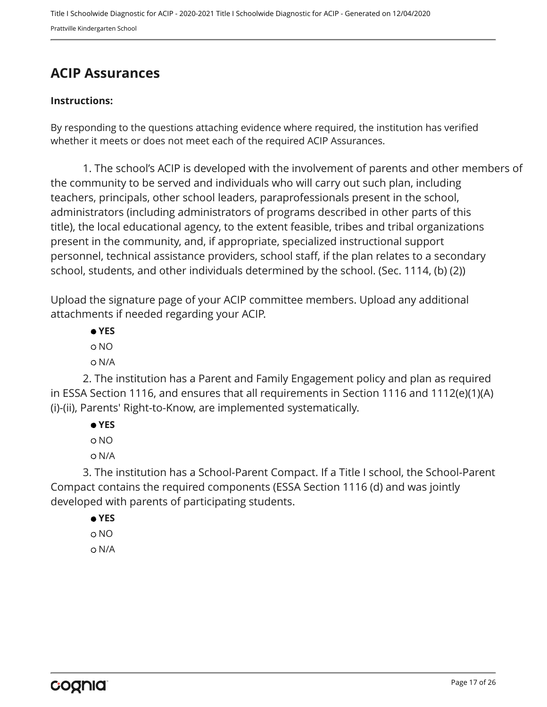## <span id="page-16-0"></span>**ACIP Assurances**

#### **Instructions:**

By responding to the questions attaching evidence where required, the institution has verified whether it meets or does not meet each of the required ACIP Assurances.

1. The school's ACIP is developed with the involvement of parents and other members of the community to be served and individuals who will carry out such plan, including teachers, principals, other school leaders, paraprofessionals present in the school, administrators (including administrators of programs described in other parts of this title), the local educational agency, to the extent feasible, tribes and tribal organizations present in the community, and, if appropriate, specialized instructional support personnel, technical assistance providers, school staff, if the plan relates to a secondary school, students, and other individuals determined by the school. (Sec. 1114, (b) (2))

Upload the signature page of your ACIP committee members. Upload any additional attachments if needed regarding your ACIP.

 **YES** NO N/A

2. The institution has a Parent and Family Engagement policy and plan as required in ESSA Section 1116, and ensures that all requirements in Section 1116 and 1112(e)(1)(A) (i)-(ii), Parents' Right-to-Know, are implemented systematically.

 **YES**

NO

N/A

3. The institution has a School-Parent Compact. If a Title I school, the School-Parent Compact contains the required components (ESSA Section 1116 (d) and was jointly developed with parents of participating students.

 **YES** NO

N/A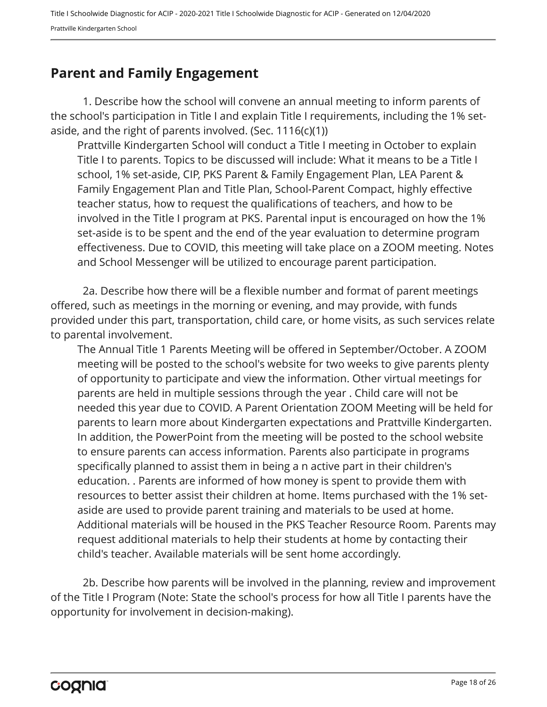### <span id="page-17-0"></span>**Parent and Family Engagement**

1. Describe how the school will convene an annual meeting to inform parents of the school's participation in Title I and explain Title I requirements, including the 1% setaside, and the right of parents involved. (Sec.  $1116(c)(1)$ )

Prattville Kindergarten School will conduct a Title I meeting in October to explain Title I to parents. Topics to be discussed will include: What it means to be a Title I school, 1% set-aside, CIP, PKS Parent & Family Engagement Plan, LEA Parent & Family Engagement Plan and Title Plan, School-Parent Compact, highly effective teacher status, how to request the qualifications of teachers, and how to be involved in the Title I program at PKS. Parental input is encouraged on how the 1% set-aside is to be spent and the end of the year evaluation to determine program effectiveness. Due to COVID, this meeting will take place on a ZOOM meeting. Notes and School Messenger will be utilized to encourage parent participation.

2a. Describe how there will be a flexible number and format of parent meetings offered, such as meetings in the morning or evening, and may provide, with funds provided under this part, transportation, child care, or home visits, as such services relate to parental involvement.

The Annual Title 1 Parents Meeting will be offered in September/October. A ZOOM meeting will be posted to the school's website for two weeks to give parents plenty of opportunity to participate and view the information. Other virtual meetings for parents are held in multiple sessions through the year . Child care will not be needed this year due to COVID. A Parent Orientation ZOOM Meeting will be held for parents to learn more about Kindergarten expectations and Prattville Kindergarten. In addition, the PowerPoint from the meeting will be posted to the school website to ensure parents can access information. Parents also participate in programs specifically planned to assist them in being a n active part in their children's education. . Parents are informed of how money is spent to provide them with resources to better assist their children at home. Items purchased with the 1% setaside are used to provide parent training and materials to be used at home. Additional materials will be housed in the PKS Teacher Resource Room. Parents may request additional materials to help their students at home by contacting their child's teacher. Available materials will be sent home accordingly.

2b. Describe how parents will be involved in the planning, review and improvement of the Title I Program (Note: State the school's process for how all Title I parents have the opportunity for involvement in decision-making).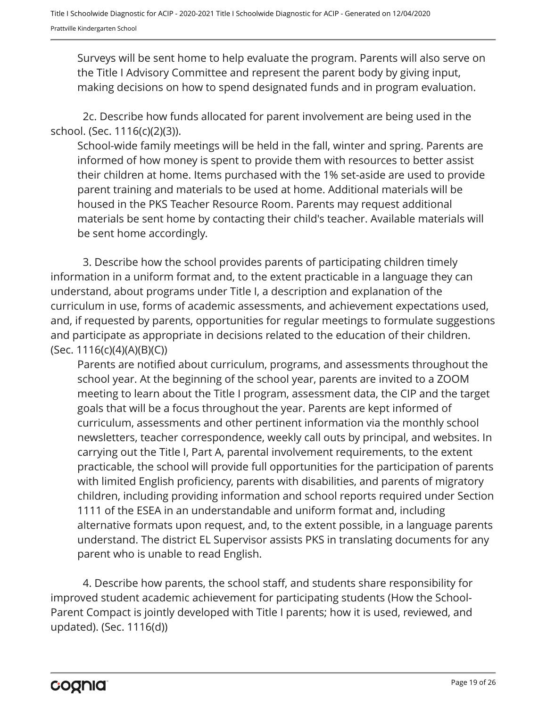Surveys will be sent home to help evaluate the program. Parents will also serve on the Title I Advisory Committee and represent the parent body by giving input, making decisions on how to spend designated funds and in program evaluation.

2c. Describe how funds allocated for parent involvement are being used in the school. (Sec. 1116(c)(2)(3)).

School-wide family meetings will be held in the fall, winter and spring. Parents are informed of how money is spent to provide them with resources to better assist their children at home. Items purchased with the 1% set-aside are used to provide parent training and materials to be used at home. Additional materials will be housed in the PKS Teacher Resource Room. Parents may request additional materials be sent home by contacting their child's teacher. Available materials will be sent home accordingly.

3. Describe how the school provides parents of participating children timely information in a uniform format and, to the extent practicable in a language they can understand, about programs under Title I, a description and explanation of the curriculum in use, forms of academic assessments, and achievement expectations used, and, if requested by parents, opportunities for regular meetings to formulate suggestions and participate as appropriate in decisions related to the education of their children. (Sec. 1116(c)(4)(A)(B)(C))

Parents are notified about curriculum, programs, and assessments throughout the school year. At the beginning of the school year, parents are invited to a ZOOM meeting to learn about the Title I program, assessment data, the CIP and the target goals that will be a focus throughout the year. Parents are kept informed of curriculum, assessments and other pertinent information via the monthly school newsletters, teacher correspondence, weekly call outs by principal, and websites. In carrying out the Title I, Part A, parental involvement requirements, to the extent practicable, the school will provide full opportunities for the participation of parents with limited English proficiency, parents with disabilities, and parents of migratory children, including providing information and school reports required under Section 1111 of the ESEA in an understandable and uniform format and, including alternative formats upon request, and, to the extent possible, in a language parents understand. The district EL Supervisor assists PKS in translating documents for any parent who is unable to read English.

4. Describe how parents, the school staff, and students share responsibility for improved student academic achievement for participating students (How the School-Parent Compact is jointly developed with Title I parents; how it is used, reviewed, and updated). (Sec. 1116(d))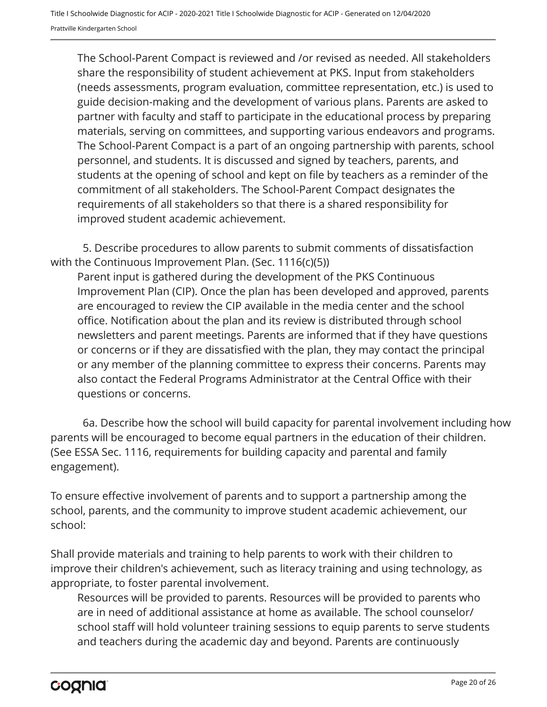The School-Parent Compact is reviewed and /or revised as needed. All stakeholders share the responsibility of student achievement at PKS. Input from stakeholders (needs assessments, program evaluation, committee representation, etc.) is used to guide decision-making and the development of various plans. Parents are asked to partner with faculty and staff to participate in the educational process by preparing materials, serving on committees, and supporting various endeavors and programs. The School-Parent Compact is a part of an ongoing partnership with parents, school personnel, and students. It is discussed and signed by teachers, parents, and students at the opening of school and kept on file by teachers as a reminder of the commitment of all stakeholders. The School-Parent Compact designates the requirements of all stakeholders so that there is a shared responsibility for improved student academic achievement.

5. Describe procedures to allow parents to submit comments of dissatisfaction with the Continuous Improvement Plan. (Sec. 1116(c)(5))

Parent input is gathered during the development of the PKS Continuous Improvement Plan (CIP). Once the plan has been developed and approved, parents are encouraged to review the CIP available in the media center and the school office. Notification about the plan and its review is distributed through school newsletters and parent meetings. Parents are informed that if they have questions or concerns or if they are dissatisfied with the plan, they may contact the principal or any member of the planning committee to express their concerns. Parents may also contact the Federal Programs Administrator at the Central Office with their questions or concerns.

6a. Describe how the school will build capacity for parental involvement including how parents will be encouraged to become equal partners in the education of their children. (See ESSA Sec. 1116, requirements for building capacity and parental and family engagement).

To ensure effective involvement of parents and to support a partnership among the school, parents, and the community to improve student academic achievement, our school:

Shall provide materials and training to help parents to work with their children to improve their children's achievement, such as literacy training and using technology, as appropriate, to foster parental involvement.

Resources will be provided to parents. Resources will be provided to parents who are in need of additional assistance at home as available. The school counselor/ school staff will hold volunteer training sessions to equip parents to serve students and teachers during the academic day and beyond. Parents are continuously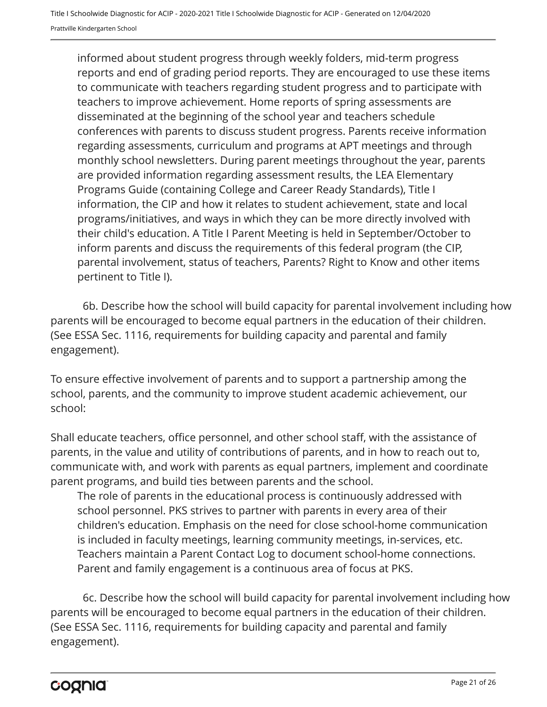informed about student progress through weekly folders, mid-term progress reports and end of grading period reports. They are encouraged to use these items to communicate with teachers regarding student progress and to participate with teachers to improve achievement. Home reports of spring assessments are disseminated at the beginning of the school year and teachers schedule conferences with parents to discuss student progress. Parents receive information regarding assessments, curriculum and programs at APT meetings and through monthly school newsletters. During parent meetings throughout the year, parents are provided information regarding assessment results, the LEA Elementary Programs Guide (containing College and Career Ready Standards), Title I information, the CIP and how it relates to student achievement, state and local programs/initiatives, and ways in which they can be more directly involved with their child's education. A Title I Parent Meeting is held in September/October to inform parents and discuss the requirements of this federal program (the CIP, parental involvement, status of teachers, Parents? Right to Know and other items pertinent to Title I).

6b. Describe how the school will build capacity for parental involvement including how parents will be encouraged to become equal partners in the education of their children. (See ESSA Sec. 1116, requirements for building capacity and parental and family engagement).

To ensure effective involvement of parents and to support a partnership among the school, parents, and the community to improve student academic achievement, our school:

Shall educate teachers, office personnel, and other school staff, with the assistance of parents, in the value and utility of contributions of parents, and in how to reach out to, communicate with, and work with parents as equal partners, implement and coordinate parent programs, and build ties between parents and the school.

The role of parents in the educational process is continuously addressed with school personnel. PKS strives to partner with parents in every area of their children's education. Emphasis on the need for close school-home communication is included in faculty meetings, learning community meetings, in-services, etc. Teachers maintain a Parent Contact Log to document school-home connections. Parent and family engagement is a continuous area of focus at PKS.

6c. Describe how the school will build capacity for parental involvement including how parents will be encouraged to become equal partners in the education of their children. (See ESSA Sec. 1116, requirements for building capacity and parental and family engagement).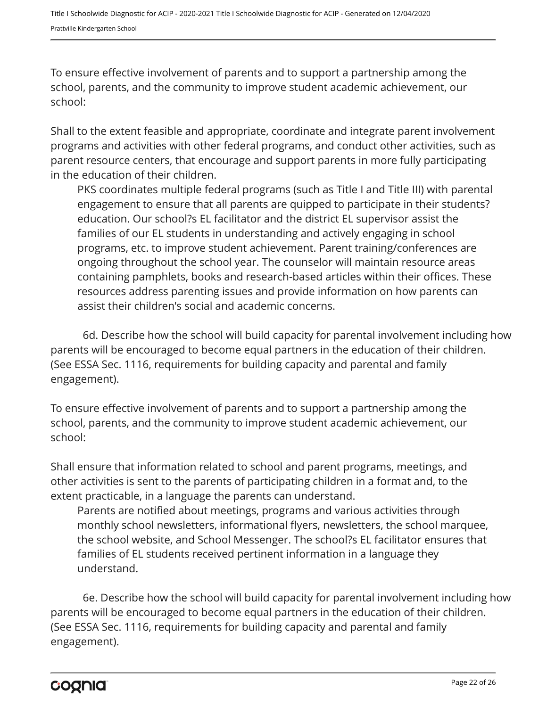To ensure effective involvement of parents and to support a partnership among the school, parents, and the community to improve student academic achievement, our school:

Shall to the extent feasible and appropriate, coordinate and integrate parent involvement programs and activities with other federal programs, and conduct other activities, such as parent resource centers, that encourage and support parents in more fully participating in the education of their children.

PKS coordinates multiple federal programs (such as Title I and Title III) with parental engagement to ensure that all parents are quipped to participate in their students? education. Our school?s EL facilitator and the district EL supervisor assist the families of our EL students in understanding and actively engaging in school programs, etc. to improve student achievement. Parent training/conferences are ongoing throughout the school year. The counselor will maintain resource areas containing pamphlets, books and research-based articles within their offices. These resources address parenting issues and provide information on how parents can assist their children's social and academic concerns.

6d. Describe how the school will build capacity for parental involvement including how parents will be encouraged to become equal partners in the education of their children. (See ESSA Sec. 1116, requirements for building capacity and parental and family engagement).

To ensure effective involvement of parents and to support a partnership among the school, parents, and the community to improve student academic achievement, our school:

Shall ensure that information related to school and parent programs, meetings, and other activities is sent to the parents of participating children in a format and, to the extent practicable, in a language the parents can understand.

Parents are notified about meetings, programs and various activities through monthly school newsletters, informational flyers, newsletters, the school marquee, the school website, and School Messenger. The school?s EL facilitator ensures that families of EL students received pertinent information in a language they understand.

6e. Describe how the school will build capacity for parental involvement including how parents will be encouraged to become equal partners in the education of their children. (See ESSA Sec. 1116, requirements for building capacity and parental and family engagement).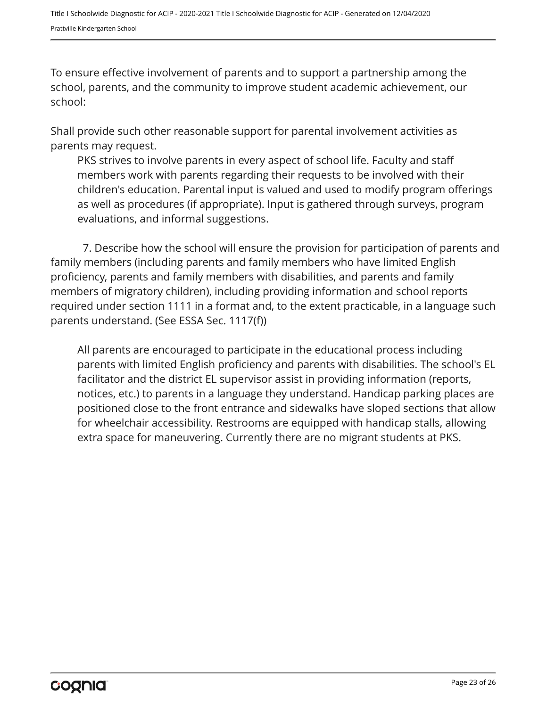To ensure effective involvement of parents and to support a partnership among the school, parents, and the community to improve student academic achievement, our school:

Shall provide such other reasonable support for parental involvement activities as parents may request.

PKS strives to involve parents in every aspect of school life. Faculty and staff members work with parents regarding their requests to be involved with their children's education. Parental input is valued and used to modify program offerings as well as procedures (if appropriate). Input is gathered through surveys, program evaluations, and informal suggestions.

7. Describe how the school will ensure the provision for participation of parents and family members (including parents and family members who have limited English proficiency, parents and family members with disabilities, and parents and family members of migratory children), including providing information and school reports required under section 1111 in a format and, to the extent practicable, in a language such parents understand. (See ESSA Sec. 1117(f))

All parents are encouraged to participate in the educational process including parents with limited English proficiency and parents with disabilities. The school's EL facilitator and the district EL supervisor assist in providing information (reports, notices, etc.) to parents in a language they understand. Handicap parking places are positioned close to the front entrance and sidewalks have sloped sections that allow for wheelchair accessibility. Restrooms are equipped with handicap stalls, allowing extra space for maneuvering. Currently there are no migrant students at PKS.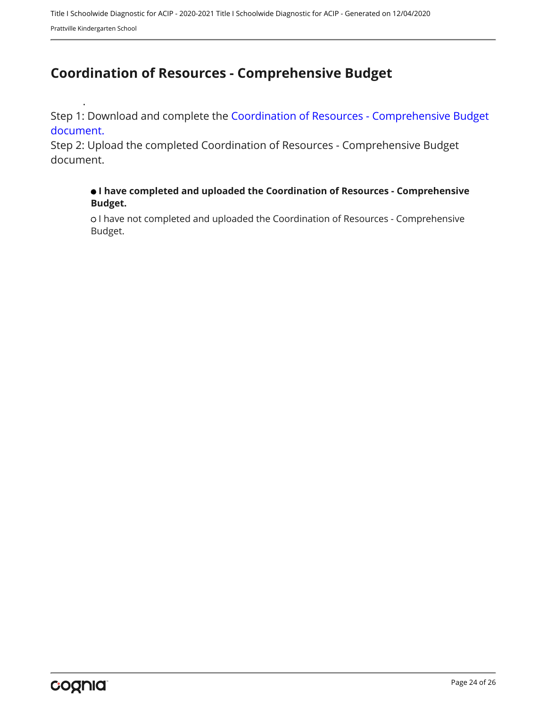## <span id="page-23-0"></span>**Coordination of Resources - Comprehensive Budget**

Step 1: Download and complete the [Coordination of Resources - Comprehensive Budget](https://www.alsde.edu/sec/fp/Pages/resources-all.aspx?navtext=Resources) [document.](https://www.alsde.edu/sec/fp/Pages/resources-all.aspx?navtext=Resources)

Step 2: Upload the completed Coordination of Resources - Comprehensive Budget document.

#### **I have completed and uploaded the Coordination of Resources - Comprehensive Budget.**

o I have not completed and uploaded the Coordination of Resources - Comprehensive Budget.

.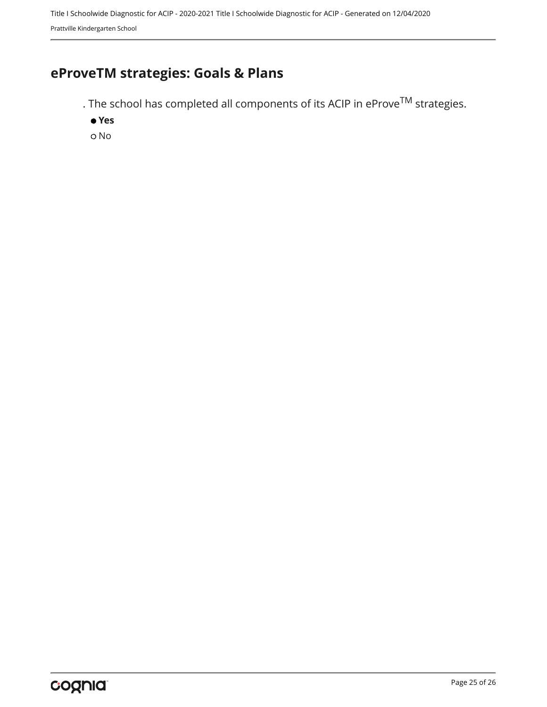## <span id="page-24-0"></span>**eProveTM strategies: Goals & Plans**

. The school has completed all components of its ACIP in  $e$ Prov $e^{TM}$  strategies.

 **Yes**

o No